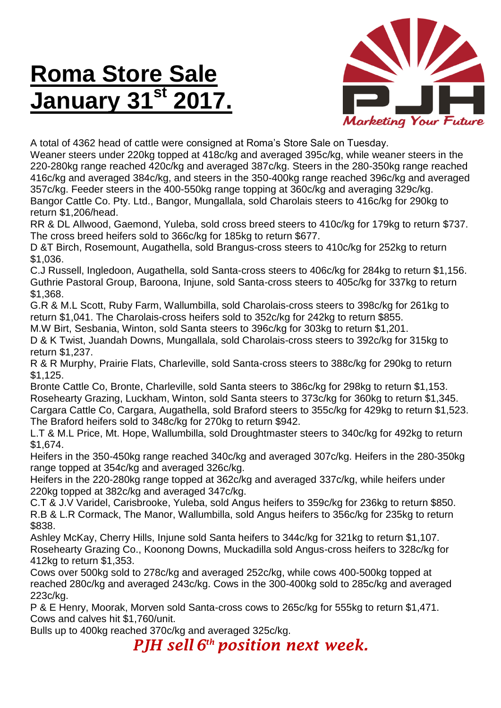## **Roma Store Sale January 31st 2017.**



A total of 4362 head of cattle were consigned at Roma's Store Sale on Tuesday.

Weaner steers under 220kg topped at 418c/kg and averaged 395c/kg, while weaner steers in the 220-280kg range reached 420c/kg and averaged 387c/kg. Steers in the 280-350kg range reached 416c/kg and averaged 384c/kg, and steers in the 350-400kg range reached 396c/kg and averaged 357c/kg. Feeder steers in the 400-550kg range topping at 360c/kg and averaging 329c/kg. Bangor Cattle Co. Pty. Ltd., Bangor, Mungallala, sold Charolais steers to 416c/kg for 290kg to return \$1,206/head.

RR & DL Allwood, Gaemond, Yuleba, sold cross breed steers to 410c/kg for 179kg to return \$737. The cross breed heifers sold to 366c/kg for 185kg to return \$677.

D &T Birch, Rosemount, Augathella, sold Brangus-cross steers to 410c/kg for 252kg to return \$1,036.

C.J Russell, Ingledoon, Augathella, sold Santa-cross steers to 406c/kg for 284kg to return \$1,156. Guthrie Pastoral Group, Baroona, Injune, sold Santa-cross steers to 405c/kg for 337kg to return \$1,368.

G.R & M.L Scott, Ruby Farm, Wallumbilla, sold Charolais-cross steers to 398c/kg for 261kg to return \$1,041. The Charolais-cross heifers sold to 352c/kg for 242kg to return \$855.

M.W Birt, Sesbania, Winton, sold Santa steers to 396c/kg for 303kg to return \$1,201.

D & K Twist, Juandah Downs, Mungallala, sold Charolais-cross steers to 392c/kg for 315kg to return \$1,237.

R & R Murphy, Prairie Flats, Charleville, sold Santa-cross steers to 388c/kg for 290kg to return \$1,125.

Bronte Cattle Co, Bronte, Charleville, sold Santa steers to 386c/kg for 298kg to return \$1,153. Rosehearty Grazing, Luckham, Winton, sold Santa steers to 373c/kg for 360kg to return \$1,345. Cargara Cattle Co, Cargara, Augathella, sold Braford steers to 355c/kg for 429kg to return \$1,523. The Braford heifers sold to 348c/kg for 270kg to return \$942.

L.T & M.L Price, Mt. Hope, Wallumbilla, sold Droughtmaster steers to 340c/kg for 492kg to return \$1,674.

Heifers in the 350-450kg range reached 340c/kg and averaged 307c/kg. Heifers in the 280-350kg range topped at 354c/kg and averaged 326c/kg.

Heifers in the 220-280kg range topped at 362c/kg and averaged 337c/kg, while heifers under 220kg topped at 382c/kg and averaged 347c/kg.

C.T & J.V Varidel, Carisbrooke, Yuleba, sold Angus heifers to 359c/kg for 236kg to return \$850. R.B & L.R Cormack, The Manor, Wallumbilla, sold Angus heifers to 356c/kg for 235kg to return \$838.

Ashley McKay, Cherry Hills, Injune sold Santa heifers to 344c/kg for 321kg to return \$1,107. Rosehearty Grazing Co., Koonong Downs, Muckadilla sold Angus-cross heifers to 328c/kg for 412kg to return \$1,353.

Cows over 500kg sold to 278c/kg and averaged 252c/kg, while cows 400-500kg topped at reached 280c/kg and averaged 243c/kg. Cows in the 300-400kg sold to 285c/kg and averaged 223c/kg.

P & E Henry, Moorak, Morven sold Santa-cross cows to 265c/kg for 555kg to return \$1,471. Cows and calves hit \$1,760/unit.

Bulls up to 400kg reached 370c/kg and averaged 325c/kg.

*PJH sell 6 th position next week.*